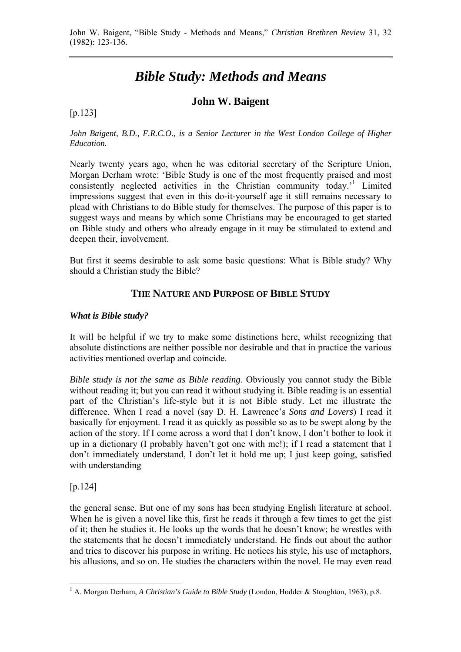# *Bible Study: Methods and Means*

## **John W. Baigent**

#### [p.123]

*John Baigent, B.D., F.R.C.O., is a Senior Lecturer in the West London College of Higher Education.* 

Nearly twenty years ago, when he was editorial secretary of the Scripture Union, Morgan Derham wrote: 'Bible Study is one of the most frequently praised and most consistently neglected activities in the Christian community today.'1 Limited impressions suggest that even in this do-it-yourself age it still remains necessary to plead with Christians to do Bible study for themselves. The purpose of this paper is to suggest ways and means by which some Christians may be encouraged to get started on Bible study and others who already engage in it may be stimulated to extend and deepen their, involvement.

But first it seems desirable to ask some basic questions: What is Bible study? Why should a Christian study the Bible?

## **THE NATURE AND PURPOSE OF BIBLE STUDY**

#### *What is Bible study?*

It will be helpful if we try to make some distinctions here, whilst recognizing that absolute distinctions are neither possible nor desirable and that in practice the various activities mentioned overlap and coincide.

*Bible study is not the same as Bible reading*. Obviously you cannot study the Bible without reading it; but you can read it without studying it. Bible reading is an essential part of the Christian's life-style but it is not Bible study. Let me illustrate the difference. When I read a novel (say D. H. Lawrence's *Sons and Lovers*) I read it basically for enjoyment. I read it as quickly as possible so as to be swept along by the action of the story. If I come across a word that I don't know, I don't bother to look it up in a dictionary (I probably haven't got one with me!); if I read a statement that I don't immediately understand, I don't let it hold me up; I just keep going, satisfied with understanding

[p.124]

the general sense. But one of my sons has been studying English literature at school. When he is given a novel like this, first he reads it through a few times to get the gist of it; then he studies it. He looks up the words that he doesn't know; he wrestles with the statements that he doesn't immediately understand. He finds out about the author and tries to discover his purpose in writing. He notices his style, his use of metaphors, his allusions, and so on. He studies the characters within the novel. He may even read

 1 A. Morgan Derham, *A Christian's Guide to Bible Study* (London, Hodder & Stoughton, 1963), p.8.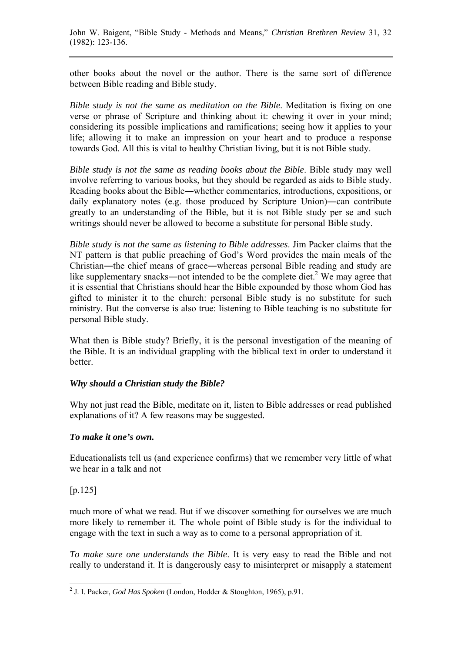other books about the novel or the author. There is the same sort of difference between Bible reading and Bible study.

*Bible study is not the same as meditation on the Bible*. Meditation is fixing on one verse or phrase of Scripture and thinking about it: chewing it over in your mind; considering its possible implications and ramifications; seeing how it applies to your life; allowing it to make an impression on your heart and to produce a response towards God. All this is vital to healthy Christian living, but it is not Bible study.

*Bible study is not the same as reading books about the Bible*. Bible study may well involve referring to various books, but they should be regarded as aids to Bible study. Reading books about the Bible―whether commentaries, introductions, expositions, or daily explanatory notes (e.g. those produced by Scripture Union)―can contribute greatly to an understanding of the Bible, but it is not Bible study per se and such writings should never be allowed to become a substitute for personal Bible study.

*Bible study is not the same as listening to Bible addresses*. Jim Packer claims that the NT pattern is that public preaching of God's Word provides the main meals of the Christian―the chief means of grace―whereas personal Bible reading and study are like supplementary snacks—not intended to be the complete diet.<sup>2</sup> We may agree that it is essential that Christians should hear the Bible expounded by those whom God has gifted to minister it to the church: personal Bible study is no substitute for such ministry. But the converse is also true: listening to Bible teaching is no substitute for personal Bible study.

What then is Bible study? Briefly, it is the personal investigation of the meaning of the Bible. It is an individual grappling with the biblical text in order to understand it better.

## *Why should a Christian study the Bible?*

Why not just read the Bible, meditate on it, listen to Bible addresses or read published explanations of it? A few reasons may be suggested.

#### *To make it one's own.*

Educationalists tell us (and experience confirms) that we remember very little of what we hear in a talk and not

[p.125]

much more of what we read. But if we discover something for ourselves we are much more likely to remember it. The whole point of Bible study is for the individual to engage with the text in such a way as to come to a personal appropriation of it.

*To make sure one understands the Bible*. It is very easy to read the Bible and not really to understand it. It is dangerously easy to misinterpret or misapply a statement

 2 J. I. Packer, *God Has Spoken* (London, Hodder & Stoughton, 1965), p.91.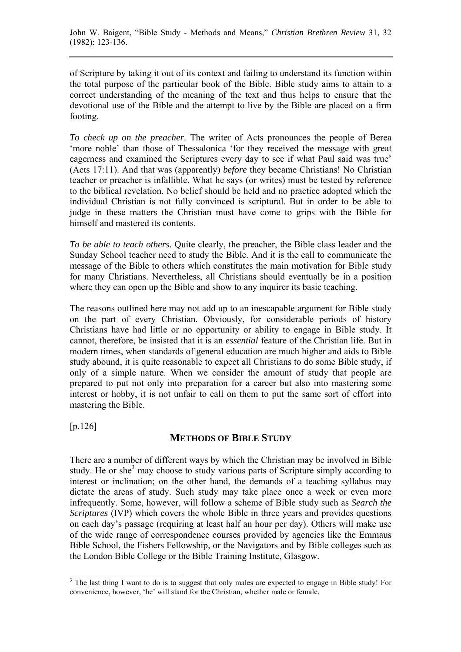of Scripture by taking it out of its context and failing to understand its function within the total purpose of the particular book of the Bible. Bible study aims to attain to a correct understanding of the meaning of the text and thus helps to ensure that the devotional use of the Bible and the attempt to live by the Bible are placed on a firm footing.

*To check up on the preacher*. The writer of Acts pronounces the people of Berea 'more noble' than those of Thessalonica 'for they received the message with great eagerness and examined the Scriptures every day to see if what Paul said was true' (Acts 17:11). And that was (apparently) *before* they became Christians! No Christian teacher or preacher is infallible. What he says (or writes) must be tested by reference to the biblical revelation. No belief should be held and no practice adopted which the individual Christian is not fully convinced is scriptural. But in order to be able to judge in these matters the Christian must have come to grips with the Bible for himself and mastered its contents.

*To be able to teach others*. Quite clearly, the preacher, the Bible class leader and the Sunday School teacher need to study the Bible. And it is the call to communicate the message of the Bible to others which constitutes the main motivation for Bible study for many Christians. Nevertheless, all Christians should eventually be in a position where they can open up the Bible and show to any inquirer its basic teaching.

The reasons outlined here may not add up to an inescapable argument for Bible study on the part of every Christian. Obviously, for considerable periods of history Christians have had little or no opportunity or ability to engage in Bible study. It cannot, therefore, be insisted that it is an *essential* feature of the Christian life. But in modern times, when standards of general education are much higher and aids to Bible study abound, it is quite reasonable to expect all Christians to do some Bible study, if only of a simple nature. When we consider the amount of study that people are prepared to put not only into preparation for a career but also into mastering some interest or hobby, it is not unfair to call on them to put the same sort of effort into mastering the Bible.

[p.126]

 $\overline{a}$ 

## **METHODS OF BIBLE STUDY**

There are a number of different ways by which the Christian may be involved in Bible study. He or she<sup>3</sup> may choose to study various parts of Scripture simply according to interest or inclination; on the other hand, the demands of a teaching syllabus may dictate the areas of study. Such study may take place once a week or even more infrequently. Some, however, will follow a scheme of Bible study such as *Search the Scriptures* (IVP) which covers the whole Bible in three years and provides questions on each day's passage (requiring at least half an hour per day). Others will make use of the wide range of correspondence courses provided by agencies like the Emmaus Bible School, the Fishers Fellowship, or the Navigators and by Bible colleges such as the London Bible College or the Bible Training Institute, Glasgow.

<sup>&</sup>lt;sup>3</sup> The last thing I want to do is to suggest that only males are expected to engage in Bible study! For convenience, however, 'he' will stand for the Christian, whether male or female.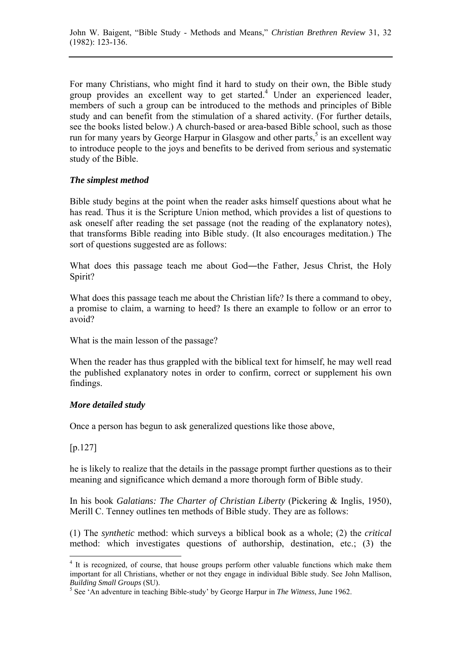For many Christians, who might find it hard to study on their own, the Bible study group provides an excellent way to get started.<sup>4</sup> Under an experienced leader, members of such a group can be introduced to the methods and principles of Bible study and can benefit from the stimulation of a shared activity. (For further details, see the books listed below.) A church-based or area-based Bible school, such as those run for many years by George Harpur in Glasgow and other parts,<sup>5</sup> is an excellent way to introduce people to the joys and benefits to be derived from serious and systematic study of the Bible.

#### *The simplest method*

Bible study begins at the point when the reader asks himself questions about what he has read. Thus it is the Scripture Union method, which provides a list of questions to ask oneself after reading the set passage (not the reading of the explanatory notes), that transforms Bible reading into Bible study. (It also encourages meditation.) The sort of questions suggested are as follows:

What does this passage teach me about God—the Father, Jesus Christ, the Holy Spirit?

What does this passage teach me about the Christian life? Is there a command to obey, a promise to claim, a warning to heed? Is there an example to follow or an error to avoid?

What is the main lesson of the passage?

When the reader has thus grappled with the biblical text for himself, he may well read the published explanatory notes in order to confirm, correct or supplement his own findings.

## *More detailed study*

Once a person has begun to ask generalized questions like those above,

## [p.127]

 $\overline{a}$ 

he is likely to realize that the details in the passage prompt further questions as to their meaning and significance which demand a more thorough form of Bible study.

In his book *Galatians: The Charter of Christian Liberty* (Pickering & Inglis, 1950), Merill C. Tenney outlines ten methods of Bible study. They are as follows:

(1) The *synthetic* method: which surveys a biblical book as a whole; (2) the *critical* method: which investigates questions of authorship, destination, etc.; (3) the

<sup>&</sup>lt;sup>4</sup> It is recognized, of course, that house groups perform other valuable functions which make them important for all Christians, whether or not they engage in individual Bible study. See John Mallison, **Building Small Groups** (SU).

See 'An adventure in teaching Bible-study' by George Harpur in *The Witness*, June 1962.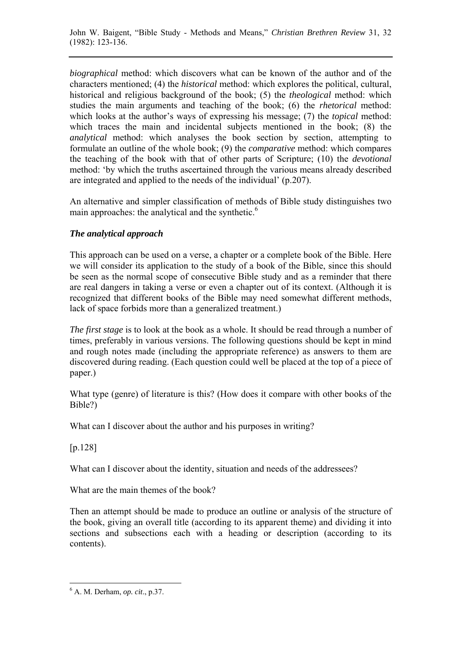*biographical* method: which discovers what can be known of the author and of the characters mentioned; (4) the *historical* method: which explores the political, cultural, historical and religious background of the book; (5) the *theological* method: which studies the main arguments and teaching of the book; (6) the *rhetorical* method: which looks at the author's ways of expressing his message; (7) the *topical* method: which traces the main and incidental subjects mentioned in the book; (8) the *analytical* method: which analyses the book section by section, attempting to formulate an outline of the whole book; (9) the *comparative* method: which compares the teaching of the book with that of other parts of Scripture; (10) the *devotional* method: 'by which the truths ascertained through the various means already described are integrated and applied to the needs of the individual' (p.207).

An alternative and simpler classification of methods of Bible study distinguishes two main approaches: the analytical and the synthetic.<sup>6</sup>

## *The analytical approach*

This approach can be used on a verse, a chapter or a complete book of the Bible. Here we will consider its application to the study of a book of the Bible, since this should be seen as the normal scope of consecutive Bible study and as a reminder that there are real dangers in taking a verse or even a chapter out of its context. (Although it is recognized that different books of the Bible may need somewhat different methods, lack of space forbids more than a generalized treatment.)

*The first stage* is to look at the book as a whole. It should be read through a number of times, preferably in various versions. The following questions should be kept in mind and rough notes made (including the appropriate reference) as answers to them are discovered during reading. (Each question could well be placed at the top of a piece of paper.)

What type (genre) of literature is this? (How does it compare with other books of the Bible?)

What can I discover about the author and his purposes in writing?

[p.128]

 $\overline{a}$ 

What can I discover about the identity, situation and needs of the addressees?

What are the main themes of the book?

Then an attempt should be made to produce an outline or analysis of the structure of the book, giving an overall title (according to its apparent theme) and dividing it into sections and subsections each with a heading or description (according to its contents).

<sup>6</sup> A. M. Derham, *op. cit*., p.37.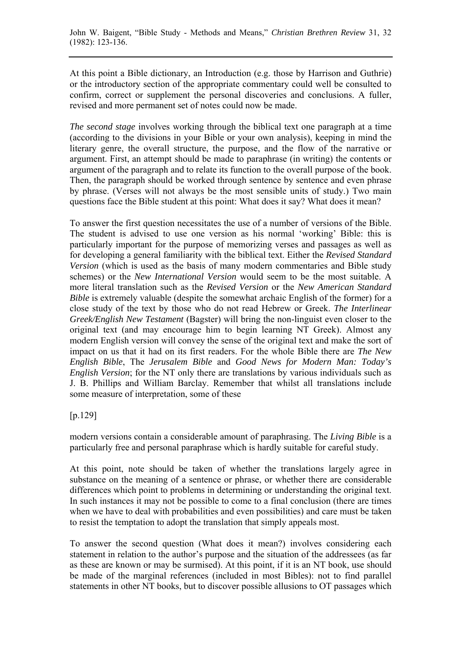At this point a Bible dictionary, an Introduction (e.g. those by Harrison and Guthrie) or the introductory section of the appropriate commentary could well be consulted to confirm, correct or supplement the personal discoveries and conclusions. A fuller, revised and more permanent set of notes could now be made.

*The second stage* involves working through the biblical text one paragraph at a time (according to the divisions in your Bible or your own analysis), keeping in mind the literary genre, the overall structure, the purpose, and the flow of the narrative or argument. First, an attempt should be made to paraphrase (in writing) the contents or argument of the paragraph and to relate its function to the overall purpose of the book. Then, the paragraph should be worked through sentence by sentence and even phrase by phrase. (Verses will not always be the most sensible units of study.) Two main questions face the Bible student at this point: What does it say? What does it mean?

To answer the first question necessitates the use of a number of versions of the Bible. The student is advised to use one version as his normal 'working' Bible: this is particularly important for the purpose of memorizing verses and passages as well as for developing a general familiarity with the biblical text. Either the *Revised Standard Version* (which is used as the basis of many modern commentaries and Bible study schemes) or the *New International Version* would seem to be the most suitable. A more literal translation such as the *Revised Version* or the *New American Standard Bible* is extremely valuable (despite the somewhat archaic English of the former) for a close study of the text by those who do not read Hebrew or Greek. *The Interlinear Greek/English New Testament* (Bagster) will bring the non-linguist even closer to the original text (and may encourage him to begin learning NT Greek). Almost any modern English version will convey the sense of the original text and make the sort of impact on us that it had on its first readers. For the whole Bible there are *The New English Bible*, The *Jerusalem Bible* and *Good News for Modern Man: Today's English Version*; for the NT only there are translations by various individuals such as J. B. Phillips and William Barclay. Remember that whilst all translations include some measure of interpretation, some of these

## [p.129]

modern versions contain a considerable amount of paraphrasing. The *Living Bible* is a particularly free and personal paraphrase which is hardly suitable for careful study.

At this point, note should be taken of whether the translations largely agree in substance on the meaning of a sentence or phrase, or whether there are considerable differences which point to problems in determining or understanding the original text. In such instances it may not be possible to come to a final conclusion (there are times when we have to deal with probabilities and even possibilities) and care must be taken to resist the temptation to adopt the translation that simply appeals most.

To answer the second question (What does it mean?) involves considering each statement in relation to the author's purpose and the situation of the addressees (as far as these are known or may be surmised). At this point, if it is an NT book, use should be made of the marginal references (included in most Bibles): not to find parallel statements in other NT books, but to discover possible allusions to OT passages which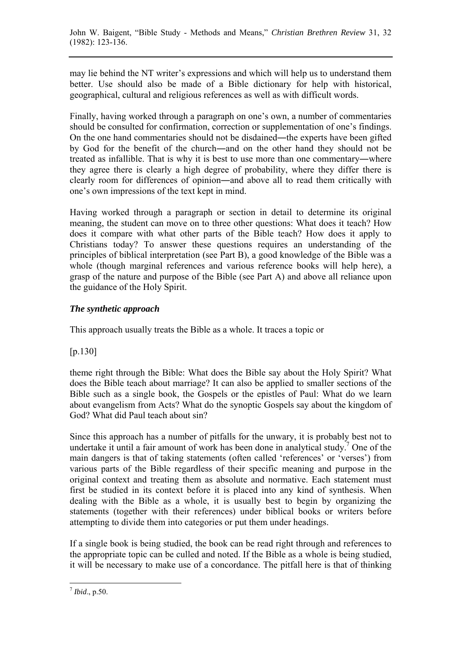may lie behind the NT writer's expressions and which will help us to understand them better. Use should also be made of a Bible dictionary for help with historical, geographical, cultural and religious references as well as with difficult words.

Finally, having worked through a paragraph on one's own, a number of commentaries should be consulted for confirmation, correction or supplementation of one's findings. On the one hand commentaries should not be disdained—the experts have been gifted by God for the benefit of the church―and on the other hand they should not be treated as infallible. That is why it is best to use more than one commentary―where they agree there is clearly a high degree of probability, where they differ there is clearly room for differences of opinion―and above all to read them critically with one's own impressions of the text kept in mind.

Having worked through a paragraph or section in detail to determine its original meaning, the student can move on to three other questions: What does it teach? How does it compare with what other parts of the Bible teach? How does it apply to Christians today? To answer these questions requires an understanding of the principles of biblical interpretation (see Part B), a good knowledge of the Bible was a whole (though marginal references and various reference books will help here), a grasp of the nature and purpose of the Bible (see Part A) and above all reliance upon the guidance of the Holy Spirit.

## *The synthetic approach*

This approach usually treats the Bible as a whole. It traces a topic or

## [p.130]

theme right through the Bible: What does the Bible say about the Holy Spirit? What does the Bible teach about marriage? It can also be applied to smaller sections of the Bible such as a single book, the Gospels or the epistles of Paul: What do we learn about evangelism from Acts? What do the synoptic Gospels say about the kingdom of God? What did Paul teach about sin?

Since this approach has a number of pitfalls for the unwary, it is probably best not to undertake it until a fair amount of work has been done in analytical study.<sup>7</sup> One of the main dangers is that of taking statements (often called 'references' or 'verses') from various parts of the Bible regardless of their specific meaning and purpose in the original context and treating them as absolute and normative. Each statement must first be studied in its context before it is placed into any kind of synthesis. When dealing with the Bible as a whole, it is usually best to begin by organizing the statements (together with their references) under biblical books or writers before attempting to divide them into categories or put them under headings.

If a single book is being studied, the book can be read right through and references to the appropriate topic can be culled and noted. If the Bible as a whole is being studied, it will be necessary to make use of a concordance. The pitfall here is that of thinking

 $\overline{a}$  $^7$ *Ibid.*, p.50.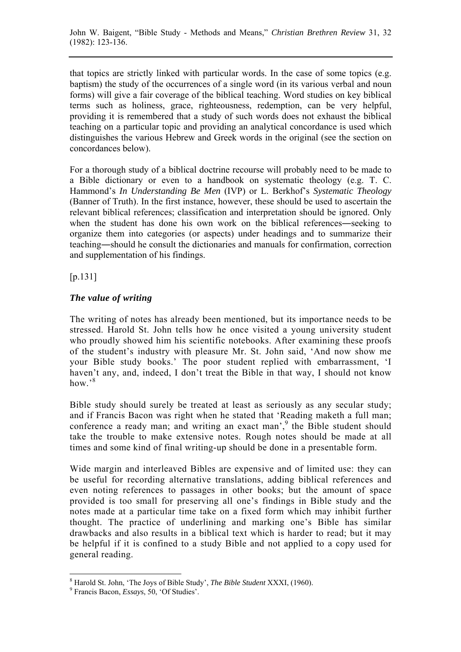that topics are strictly linked with particular words. In the case of some topics (e.g. baptism) the study of the occurrences of a single word (in its various verbal and noun forms) will give a fair coverage of the biblical teaching. Word studies on key biblical terms such as holiness, grace, righteousness, redemption, can be very helpful, providing it is remembered that a study of such words does not exhaust the biblical teaching on a particular topic and providing an analytical concordance is used which distinguishes the various Hebrew and Greek words in the original (see the section on concordances below).

For a thorough study of a biblical doctrine recourse will probably need to be made to a Bible dictionary or even to a handbook on systematic theology (e.g. T. C. Hammond's *In Understanding Be Men* (IVP) or L. Berkhof's *Systematic Theology* (Banner of Truth). In the first instance, however, these should be used to ascertain the relevant biblical references; classification and interpretation should be ignored. Only when the student has done his own work on the biblical references—seeking to organize them into categories (or aspects) under headings and to summarize their teaching―should he consult the dictionaries and manuals for confirmation, correction and supplementation of his findings.

 $[n.131]$ 

## *The value of writing*

The writing of notes has already been mentioned, but its importance needs to be stressed. Harold St. John tells how he once visited a young university student who proudly showed him his scientific notebooks. After examining these proofs of the student's industry with pleasure Mr. St. John said, 'And now show me your Bible study books.' The poor student replied with embarrassment, 'I haven't any, and, indeed, I don't treat the Bible in that way, I should not know how. $38$ 

Bible study should surely be treated at least as seriously as any secular study; and if Francis Bacon was right when he stated that 'Reading maketh a full man; conference a ready man; and writing an exact man', <sup>9</sup> the Bible student should take the trouble to make extensive notes. Rough notes should be made at all times and some kind of final writing-up should be done in a presentable form.

Wide margin and interleaved Bibles are expensive and of limited use: they can be useful for recording alternative translations, adding biblical references and even noting references to passages in other books; but the amount of space provided is too small for preserving all one's findings in Bible study and the notes made at a particular time take on a fixed form which may inhibit further thought. The practice of underlining and marking one's Bible has similar drawbacks and also results in a biblical text which is harder to read; but it may be helpful if it is confined to a study Bible and not applied to a copy used for general reading.

 $\overline{a}$ <sup>8</sup> Harold St. John, 'The Joys of Bible Study', *The Bible Student* XXXI, (1960).

Francis Bacon, *Essays*, 50, 'Of Studies'.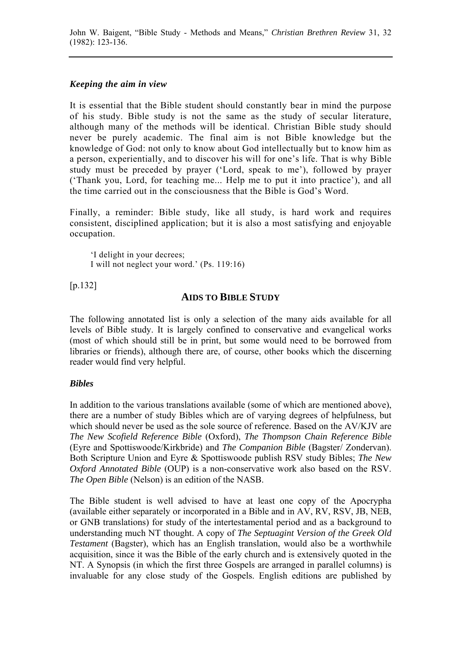John W. Baigent, "Bible Study - Methods and Means," *Christian Brethren Review* 31, 32 (1982): 123-136.

#### *Keeping the aim in view*

It is essential that the Bible student should constantly bear in mind the purpose of his study. Bible study is not the same as the study of secular literature, although many of the methods will be identical. Christian Bible study should never be purely academic. The final aim is not Bible knowledge but the knowledge of God: not only to know about God intellectually but to know him as a person, experientially, and to discover his will for one's life. That is why Bible study must be preceded by prayer ('Lord, speak to me'), followed by prayer ('Thank you, Lord, for teaching me... Help me to put it into practice'), and all the time carried out in the consciousness that the Bible is God's Word.

Finally, a reminder: Bible study, like all study, is hard work and requires consistent, disciplined application; but it is also a most satisfying and enjoyable occupation.

'I delight in your decrees; I will not neglect your word.' (Ps. 119:16)

[p.132]

## **AIDS TO BIBLE STUDY**

The following annotated list is only a selection of the many aids available for all levels of Bible study. It is largely confined to conservative and evangelical works (most of which should still be in print, but some would need to be borrowed from libraries or friends), although there are, of course, other books which the discerning reader would find very helpful.

#### *Bibles*

In addition to the various translations available (some of which are mentioned above), there are a number of study Bibles which are of varying degrees of helpfulness, but which should never be used as the sole source of reference. Based on the AV/KJV are *The New Scofield Reference Bible* (Oxford), *The Thompson Chain Reference Bible* (Eyre and Spottiswoode/Kirkbride) and *The Companion Bible* (Bagster/ Zondervan). Both Scripture Union and Eyre & Spottiswoode publish RSV study Bibles; *The New Oxford Annotated Bible* (OUP) is a non-conservative work also based on the RSV. *The Open Bible* (Nelson) is an edition of the NASB.

The Bible student is well advised to have at least one copy of the Apocrypha (available either separately or incorporated in a Bible and in AV, RV, RSV, JB, NEB, or GNB translations) for study of the intertestamental period and as a background to understanding much NT thought. A copy of *The Septuagint Version of the Greek Old Testament* (Bagster), which has an English translation, would also be a worthwhile acquisition, since it was the Bible of the early church and is extensively quoted in the NT. A Synopsis (in which the first three Gospels are arranged in parallel columns) is invaluable for any close study of the Gospels. English editions are published by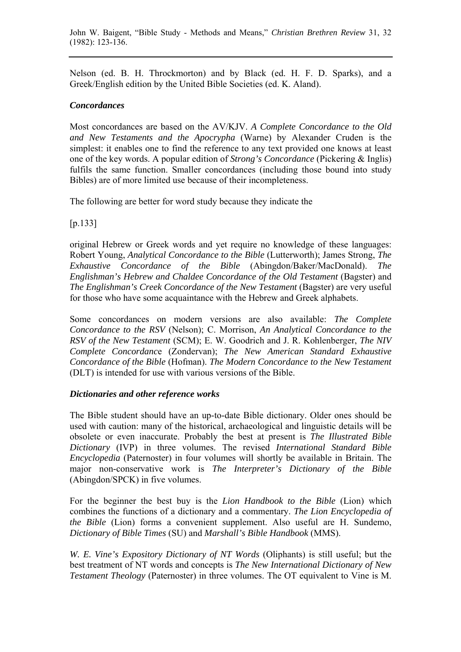Nelson (ed. B. H. Throckmorton) and by Black (ed. H. F. D. Sparks), and a Greek/English edition by the United Bible Societies (ed. K. Aland).

#### *Concordances*

Most concordances are based on the AV/KJV. *A Complete Concordance to the Old and New Testaments and the Apocrypha* (Warne) by Alexander Cruden is the simplest: it enables one to find the reference to any text provided one knows at least one of the key words. A popular edition of *Strong's Concordance* (Pickering & Inglis) fulfils the same function. Smaller concordances (including those bound into study Bibles) are of more limited use because of their incompleteness.

The following are better for word study because they indicate the

[p.133]

original Hebrew or Greek words and yet require no knowledge of these languages: Robert Young, *Analytical Concordance to the Bible* (Lutterworth); James Strong, *The Exhaustive Concordance of the Bible* (Abingdon/Baker/MacDonald). *The Englishman's Hebrew and Chaldee Concordance of the Old Testament* (Bagster) and *The Englishman's Creek Concordance of the New Testament* (Bagster) are very useful for those who have some acquaintance with the Hebrew and Greek alphabets.

Some concordances on modern versions are also available: *The Complete Concordance to the RSV* (Nelson); C. Morrison, *An Analytical Concordance to the RSV of the New Testament* (SCM); E. W. Goodrich and J. R. Kohlenberger, *The NIV Complete Concordanc*e (Zondervan); *The New American Standard Exhaustive Concordance of the Bible* (Hofman). *The Modern Concordance to the New Testament* (DLT) is intended for use with various versions of the Bible.

## *Dictionaries and other reference works*

The Bible student should have an up-to-date Bible dictionary. Older ones should be used with caution: many of the historical, archaeological and linguistic details will be obsolete or even inaccurate. Probably the best at present is *The Illustrated Bible Dictionary* (IVP) in three volumes. The revised *International Standard Bible Encyclopedia* (Paternoster) in four volumes will shortly be available in Britain. The major non-conservative work is *The Interpreter's Dictionary of the Bible* (Abingdon/SPCK) in five volumes.

For the beginner the best buy is the *Lion Handbook to the Bible* (Lion) which combines the functions of a dictionary and a commentary. *The Lion Encyclopedia of the Bible* (Lion) forms a convenient supplement. Also useful are H. Sundemo, *Dictionary of Bible Times* (SU) and *Marshall's Bible Handbook* (MMS).

*W. E. Vine's Expository Dictionary of NT Words* (Oliphants) is still useful; but the best treatment of NT words and concepts is *The New International Dictionary of New Testament Theology* (Paternoster) in three volumes. The OT equivalent to Vine is M.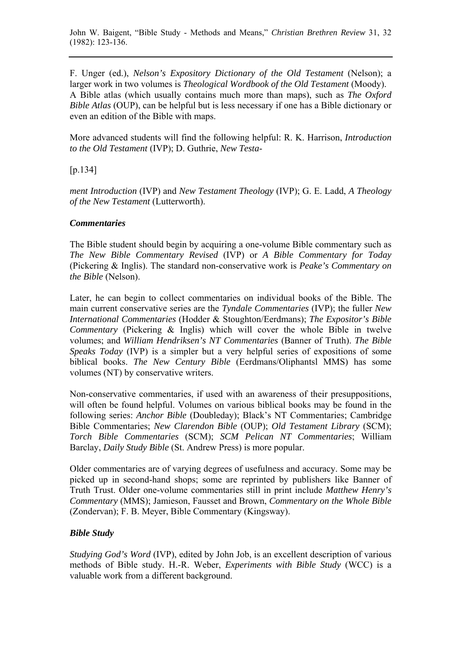John W. Baigent, "Bible Study - Methods and Means," *Christian Brethren Review* 31, 32 (1982): 123-136.

F. Unger (ed.), *Nelson's Expository Dictionary of the Old Testament* (Nelson); a larger work in two volumes is *Theological Wordbook of the Old Testament* (Moody). A Bible atlas (which usually contains much more than maps), such as *The Oxford Bible Atlas* (OUP), can be helpful but is less necessary if one has a Bible dictionary or even an edition of the Bible with maps.

More advanced students will find the following helpful: R. K. Harrison, *Introduction to the Old Testament* (IVP); D. Guthrie, *New Testa*-

 $[n.134]$ 

*ment Introduction* (IVP) and *New Testament Theology* (IVP); G. E. Ladd, *A Theology of the New Testament* (Lutterworth).

#### *Commentaries*

The Bible student should begin by acquiring a one-volume Bible commentary such as *The New Bible Commentary Revised* (IVP) or *A Bible Commentary for Today* (Pickering & Inglis). The standard non-conservative work is *Peake's Commentary on the Bible* (Nelson).

Later, he can begin to collect commentaries on individual books of the Bible. The main current conservative series are the *Tyndale Commentaries* (IVP); the fuller *New International Commentaries* (Hodder & Stoughton/Eerdmans); *The Expositor's Bible Commentary* (Pickering & Inglis) which will cover the whole Bible in twelve volumes; and *William Hendriksen's NT Commentaries* (Banner of Truth). *The Bible Speaks Today* (IVP) is a simpler but a very helpful series of expositions of some biblical books. *The New Century Bible* (Eerdmans/Oliphantsl MMS) has some volumes (NT) by conservative writers.

Non-conservative commentaries, if used with an awareness of their presuppositions, will often be found helpful. Volumes on various biblical books may be found in the following series: *Anchor Bible* (Doubleday); Black's NT Commentaries; Cambridge Bible Commentaries; *New Clarendon Bible* (OUP); *Old Testament Library* (SCM); *Torch Bible Commentaries* (SCM); *SCM Pelican NT Commentaries*; William Barclay, *Daily Study Bible* (St. Andrew Press) is more popular.

Older commentaries are of varying degrees of usefulness and accuracy. Some may be picked up in second-hand shops; some are reprinted by publishers like Banner of Truth Trust. Older one-volume commentaries still in print include *Matthew Henry's Commentary* (MMS); Jamieson, Fausset and Brown, *Commentary on the Whole Bible* (Zondervan); F. B. Meyer, Bible Commentary (Kingsway).

#### *Bible Study*

*Studying God's Word* (IVP), edited by John Job, is an excellent description of various methods of Bible study. H.-R. Weber, *Experiments with Bible Study* (WCC) is a valuable work from a different background.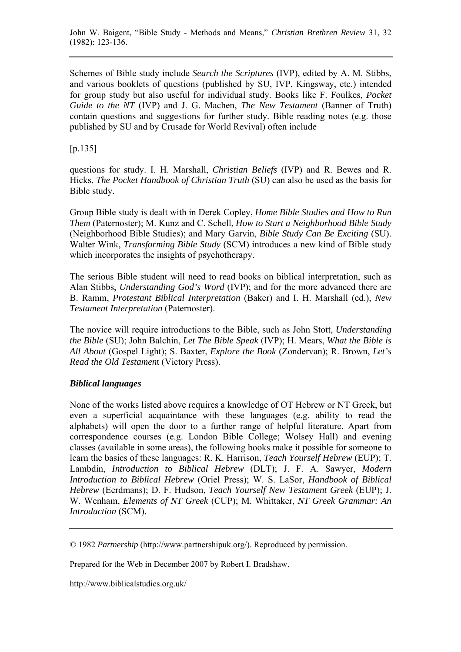Schemes of Bible study include *Search the Scriptures* (IVP), edited by A. M. Stibbs, and various booklets of questions (published by SU, IVP, Kingsway, etc.) intended for group study but also useful for individual study. Books like F. Foulkes, *Pocket Guide to the NT* (IVP) and J. G. Machen, *The New Testament* (Banner of Truth) contain questions and suggestions for further study. Bible reading notes (e.g. those published by SU and by Crusade for World Revival) often include

## $[p.135]$

questions for study. I. H. Marshall, *Christian Beliefs* (IVP) and R. Bewes and R. Hicks, *The Pocket Handbook of Christian Truth* (SU) can also be used as the basis for Bible study.

Group Bible study is dealt with in Derek Copley, *Home Bible Studies and How to Run Them* (Paternoster); M. Kunz and C. Schell, *How to Start a Neighborhood Bible Study* (Neighborhood Bible Studies); and Mary Garvin, *Bible Study Can Be Exciting* (SU). Walter Wink, *Transforming Bible Study* (SCM) introduces a new kind of Bible study which incorporates the insights of psychotherapy.

The serious Bible student will need to read books on biblical interpretation, such as Alan Stibbs, *Understanding God's Word* (IVP); and for the more advanced there are B. Ramm, *Protestant Biblical Interpretation* (Baker) and I. H. Marshall (ed.), *New Testament Interpretation* (Paternoster).

The novice will require introductions to the Bible, such as John Stott, *Understanding the Bible* (SU); John Balchin, *Let The Bible Speak* (IVP); H. Mears, *What the Bible is All About* (Gospel Light); S. Baxter, *Explore the Book* (Zondervan); R. Brown, *Let's Read the Old Testamen*t (Victory Press).

## *Biblical languages*

None of the works listed above requires a knowledge of OT Hebrew or NT Greek, but even a superficial acquaintance with these languages (e.g. ability to read the alphabets) will open the door to a further range of helpful literature. Apart from correspondence courses (e.g. London Bible College; Wolsey Hall) and evening classes (available in some areas), the following books make it possible for someone to learn the basics of these languages: R. K. Harrison, *Teach Yourself Hebrew* (EUP); T. Lambdin, *Introduction to Biblical Hebrew* (DLT); J. F. A. Sawyer, *Modern Introduction to Biblical Hebrew* (Oriel Press); W. S. LaSor, *Handbook of Biblical Hebrew* (Eerdmans); D. F. Hudson, *Teach Yourself New Testament Greek* (EUP); J. W. Wenham, *Elements of NT Greek* (CUP); M. Whittaker, *NT Greek Grammar: An Introduction* (SCM).

© 1982 *Partnership* ([http://www.partnershipuk.org/\).](http://www.partnershipuk.org) Reproduced by permission.

Prepared for the Web in December 2007 by Robert I. Bradshaw.

[http://www.biblicalstudies.org.uk/](http://www.biblicalstudies.org.uk)